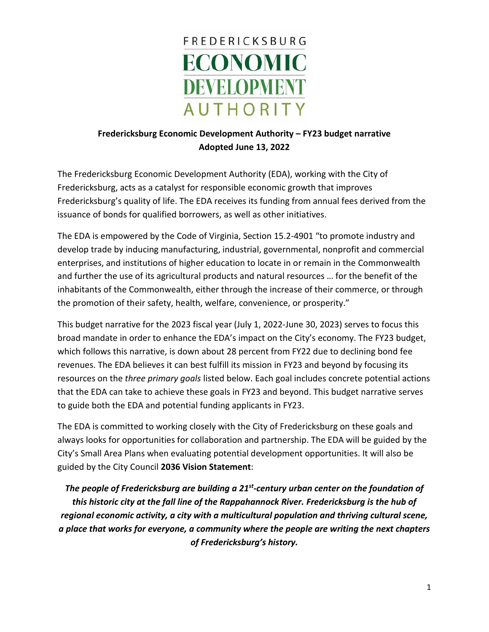

## **Fredericksburg Economic Development Authority – FY23 budget narrative Adopted June 13, 2022**

The Fredericksburg Economic Development Authority (EDA), working with the City of Fredericksburg, acts as a catalyst for responsible economic growth that improves Fredericksburg's quality of life. The EDA receives its funding from annual fees derived from the issuance of bonds for qualified borrowers, as well as other initiatives.

The EDA is empowered by the Code of Virginia, Section 15.2-4901 "to promote industry and develop trade by inducing manufacturing, industrial, governmental, nonprofit and commercial enterprises, and institutions of higher education to locate in or remain in the Commonwealth and further the use of its agricultural products and natural resources … for the benefit of the inhabitants of the Commonwealth, either through the increase of their commerce, or through the promotion of their safety, health, welfare, convenience, or prosperity."

This budget narrative for the 2023 fiscal year (July 1, 2022-June 30, 2023) serves to focus this broad mandate in order to enhance the EDA's impact on the City's economy. The FY23 budget, which follows this narrative, is down about 28 percent from FY22 due to declining bond fee revenues. The EDA believes it can best fulfill its mission in FY23 and beyond by focusing its resources on the *three primary goals* listed below. Each goal includes concrete potential actions that the EDA can take to achieve these goals in FY23 and beyond. This budget narrative serves to guide both the EDA and potential funding applicants in FY23.

The EDA is committed to working closely with the City of Fredericksburg on these goals and always looks for opportunities for collaboration and partnership. The EDA will be guided by the City's Small Area Plans when evaluating potential development opportunities. It will also be guided by the City Council **2036 Vision Statement**:

*The people of Fredericksburg are building a 21st-century urban center on the foundation of this historic city at the fall line of the Rappahannock River. Fredericksburg is the hub of regional economic activity, a city with a multicultural population and thriving cultural scene, a place that works for everyone, a community where the people are writing the next chapters of Fredericksburg's history.*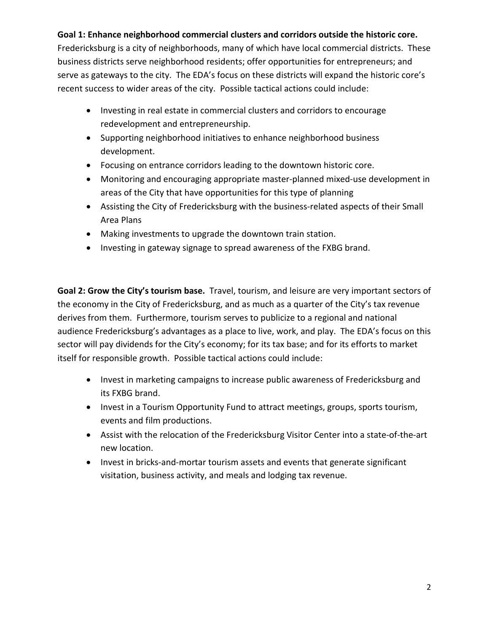## **Goal 1: Enhance neighborhood commercial clusters and corridors outside the historic core.**

Fredericksburg is a city of neighborhoods, many of which have local commercial districts. These business districts serve neighborhood residents; offer opportunities for entrepreneurs; and serve as gateways to the city. The EDA's focus on these districts will expand the historic core's recent success to wider areas of the city. Possible tactical actions could include:

- Investing in real estate in commercial clusters and corridors to encourage redevelopment and entrepreneurship.
- Supporting neighborhood initiatives to enhance neighborhood business development.
- Focusing on entrance corridors leading to the downtown historic core.
- Monitoring and encouraging appropriate master-planned mixed-use development in areas of the City that have opportunities for this type of planning
- Assisting the City of Fredericksburg with the business-related aspects of their Small Area Plans
- Making investments to upgrade the downtown train station.
- Investing in gateway signage to spread awareness of the FXBG brand.

**Goal 2: Grow the City's tourism base.** Travel, tourism, and leisure are very important sectors of the economy in the City of Fredericksburg, and as much as a quarter of the City's tax revenue derives from them. Furthermore, tourism serves to publicize to a regional and national audience Fredericksburg's advantages as a place to live, work, and play. The EDA's focus on this sector will pay dividends for the City's economy; for its tax base; and for its efforts to market itself for responsible growth. Possible tactical actions could include:

- Invest in marketing campaigns to increase public awareness of Fredericksburg and its FXBG brand.
- Invest in a Tourism Opportunity Fund to attract meetings, groups, sports tourism, events and film productions.
- Assist with the relocation of the Fredericksburg Visitor Center into a state-of-the-art new location.
- Invest in bricks-and-mortar tourism assets and events that generate significant visitation, business activity, and meals and lodging tax revenue.